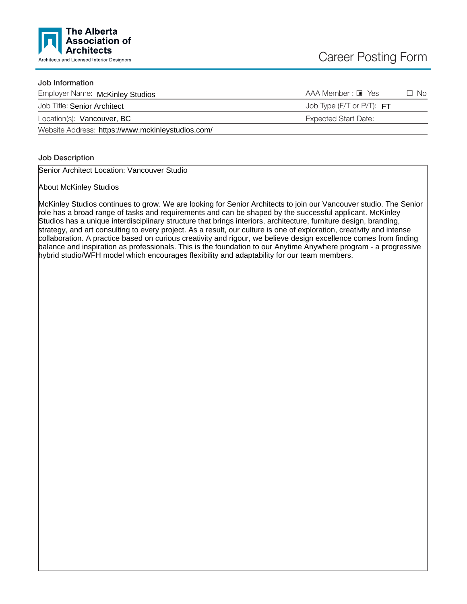

# Job Information

| Employer Name: McKinley Studios                   | $AAA$ Member : $\blacksquare$ Yes | $\Box$ No |
|---------------------------------------------------|-----------------------------------|-----------|
| Job Title: Senior Architect                       | Job Type (F/T or $P/T$ ): $FT$    |           |
| Location(s): Vancouver, BC                        | Expected Start Date:              |           |
| Website Address: https://www.mckinleystudios.com/ |                                   |           |

## Job Description

Senior Architect Location: Vancouver Studio

About McKinley Studios

McKinley Studios continues to grow. We are looking for Senior Architects to join our Vancouver studio. The Senior role has a broad range of tasks and requirements and can be shaped by the successful applicant. McKinley Studios has a unique interdisciplinary structure that brings interiors, architecture, furniture design, branding, strategy, and art consulting to every project. As a result, our culture is one of exploration, creativity and intense collaboration. A practice based on curious creativity and rigour, we believe design excellence comes from finding balance and inspiration as professionals. This is the foundation to our Anytime Anywhere program - a progressive hybrid studio/WFH model which encourages flexibility and adaptability for our team members.